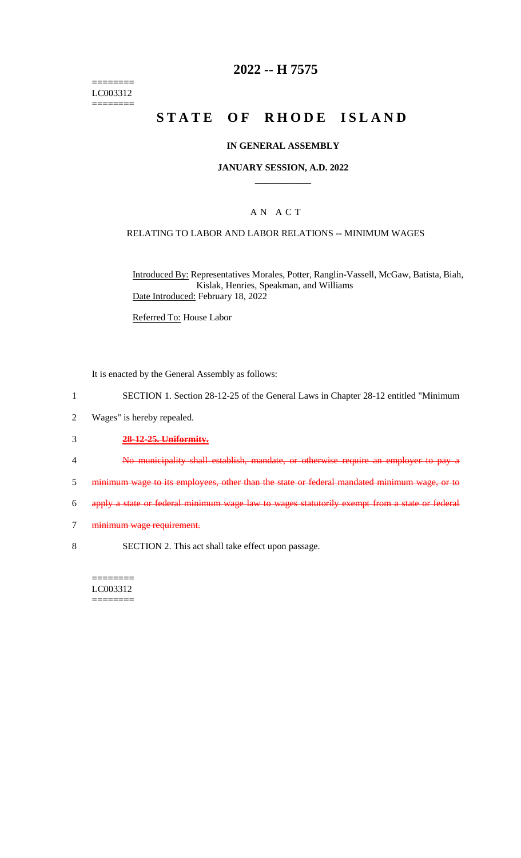======== LC003312  $=$ 

# **2022 -- H 7575**

# **STATE OF RHODE ISLAND**

### **IN GENERAL ASSEMBLY**

### **JANUARY SESSION, A.D. 2022 \_\_\_\_\_\_\_\_\_\_\_\_**

## A N A C T

### RELATING TO LABOR AND LABOR RELATIONS -- MINIMUM WAGES

Introduced By: Representatives Morales, Potter, Ranglin-Vassell, McGaw, Batista, Biah, Kislak, Henries, Speakman, and Williams Date Introduced: February 18, 2022

Referred To: House Labor

It is enacted by the General Assembly as follows:

- 1 SECTION 1. Section 28-12-25 of the General Laws in Chapter 28-12 entitled "Minimum
- 2 Wages" is hereby repealed.
- 3 **28-12-25. Uniformity.**
- 4 No municipality shall establish, mandate, or otherwise require an employer to pay a
- 5 minimum wage to its employees, other than the state or federal mandated minimum wage, or to
- 6 apply a state or federal minimum wage law to wages statutorily exempt from a state or federal
- 7 minimum wage requirement.
- 8 SECTION 2. This act shall take effect upon passage.

======== LC003312 ========